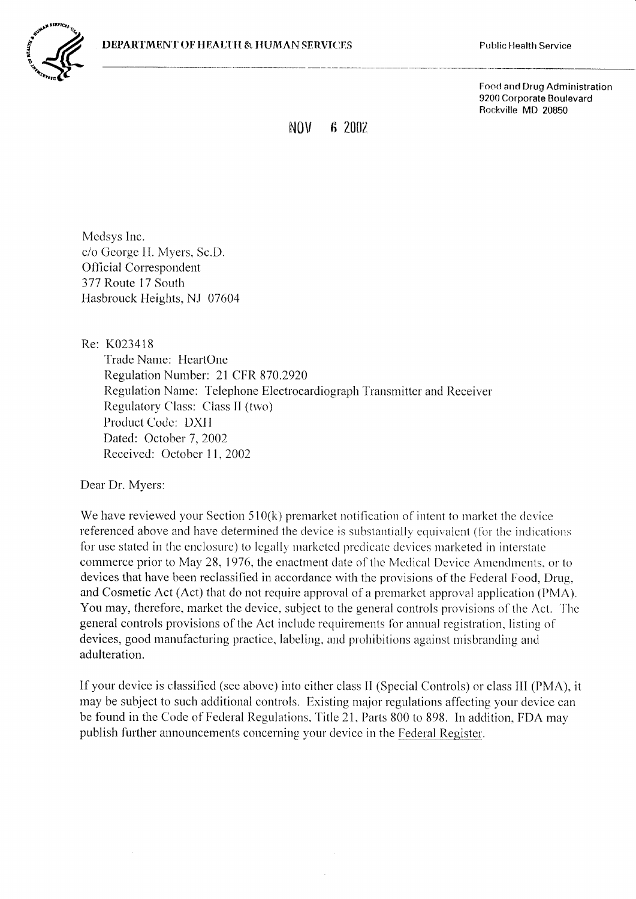

**Public Health Service** 

Food and Drug Administration 9200 Corporate Boulevard Rockville MD 20850

**NOV** 6 2002

Medsys Inc. c/o George H. Myers, Sc.D. **Official Correspondent** 377 Route 17 South Hasbrouck Heights, NJ 07604

Re: K023418 Trade Name: HeartOne Regulation Number: 21 CFR 870.2920 Regulation Name: Telephone Electrocardiograph Transmitter and Receiver Regulatory Class: Class II (two) Product Code: DXH Dated: October 7, 2002 Received: October 11, 2002

Dear Dr. Myers:

We have reviewed your Section  $510(k)$  premarket notification of intent to market the device referenced above and have determined the device is substantially equivalent (for the indications for use stated in the enclosure) to legally marketed predicate devices marketed in interstate commerce prior to May 28, 1976, the enactment date of the Medical Device Amendments, or to devices that have been reclassified in accordance with the provisions of the Federal Food, Drug, and Cosmetic Act (Act) that do not require approval of a premarket approval application (PMA). You may, therefore, market the device, subject to the general controls provisions of the Act. The general controls provisions of the Act include requirements for annual registration, listing of devices, good manufacturing practice, labeling, and prohibitions against misbranding and adulteration.

If your device is classified (see above) into either class II (Special Controls) or class III (PMA), it may be subject to such additional controls. Existing major regulations affecting your device can be found in the Code of Federal Regulations, Title 21, Parts 800 to 898. In addition, FDA may publish further announcements concerning your device in the Federal Register.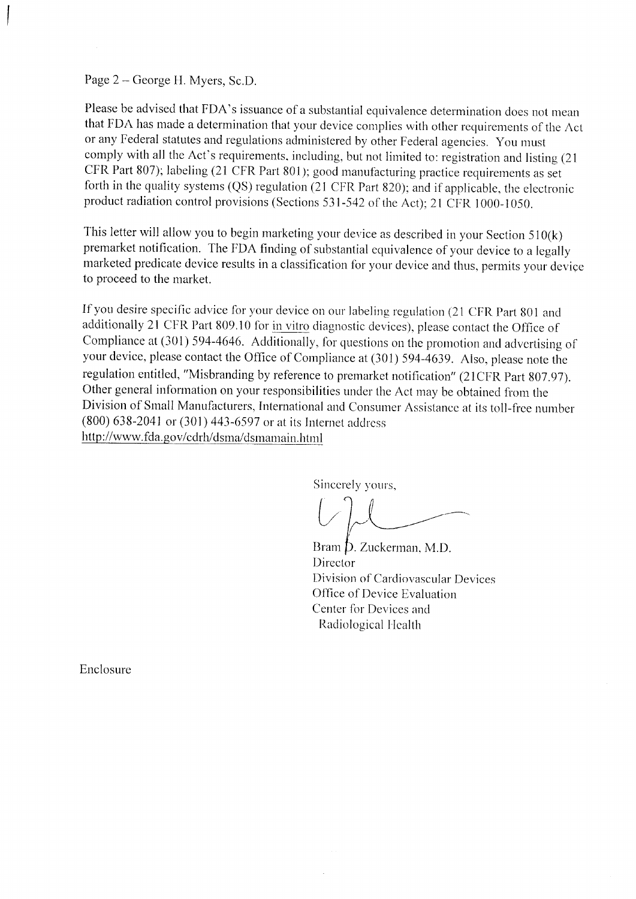Page 2 – George H. Myers, Sc.D.

Please be advised that FDA's issuance of a substantial equivalence determination does not mean that FDA has made a determination that your device complies with other requirements of the Act or any Federal statutes and regulations administered by other Federal agencies. You must comply with all the Act's requirements, including, but not limited to: registration and listing (21) CFR Part 807); labeling (21 CFR Part 801); good manufacturing practice requirements as set forth in the quality systems (QS) regulation (21 CFR Part 820); and if applicable, the electronic product radiation control provisions (Sections 531-542 of the Act); 21 CFR 1000-1050.

This letter will allow you to begin marketing your device as described in your Section 510(k) premarket notification. The FDA finding of substantial equivalence of your device to a legally marketed predicate device results in a classification for your device and thus, permits your device to proceed to the market.

If you desire specific advice for your device on our labeling regulation (21 CFR Part 801 and additionally 21 CFR Part 809.10 for in vitro diagnostic devices), please contact the Office of Compliance at (301) 594-4646. Additionally, for questions on the promotion and advertising of your device, please contact the Office of Compliance at (301) 594-4639. Also, please note the regulation entitled, "Misbranding by reference to premarket notification" (21CFR Part 807.97). Other general information on your responsibilities under the Act may be obtained from the Division of Small Manufacturers, International and Consumer Assistance at its toll-free number (800) 638-2041 or (301) 443-6597 or at its Internet address http://www.fda.gov/cdrh/dsma/dsmamain.html

Sincerely yours,

 $\int$   $\int$   $\int$  $\cup$  / $\cup$  $\sim$ 

Bram D. Zuckerman, M.D. Director Division of Cardiovascular Devices Office of Device Evaluation Center for Devices and Radiological Health

Enclosure